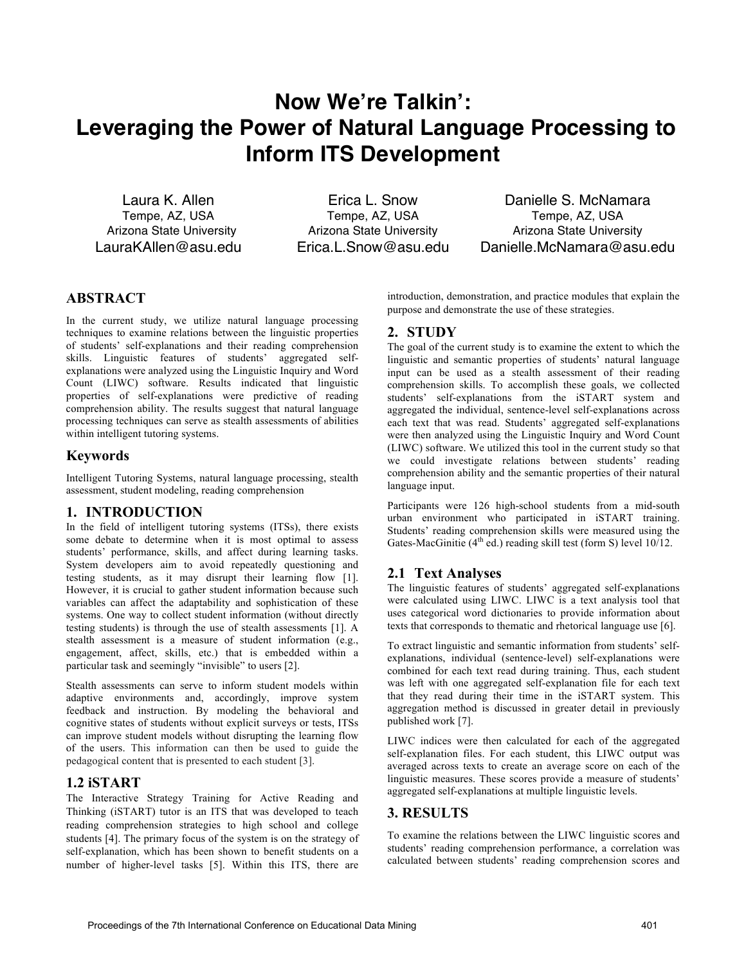# **Now We're Talkin': Leveraging the Power of Natural Language Processing to Inform ITS Development**

Laura K. Allen Tempe, AZ, USA Arizona State University LauraKAllen@asu.edu

Erica L. Snow Tempe, AZ, USA Arizona State University Erica.L.Snow@asu.edu

Danielle S. McNamara Tempe, AZ, USA Arizona State University Danielle.McNamara@asu.edu

## **ABSTRACT**

In the current study, we utilize natural language processing techniques to examine relations between the linguistic properties of students' self-explanations and their reading comprehension skills. Linguistic features of students' aggregated selfexplanations were analyzed using the Linguistic Inquiry and Word Count (LIWC) software. Results indicated that linguistic properties of self-explanations were predictive of reading comprehension ability. The results suggest that natural language processing techniques can serve as stealth assessments of abilities within intelligent tutoring systems.

## **Keywords**

Intelligent Tutoring Systems, natural language processing, stealth assessment, student modeling, reading comprehension

### **1. INTRODUCTION**

In the field of intelligent tutoring systems (ITSs), there exists some debate to determine when it is most optimal to assess students' performance, skills, and affect during learning tasks. System developers aim to avoid repeatedly questioning and testing students, as it may disrupt their learning flow [1]. However, it is crucial to gather student information because such variables can affect the adaptability and sophistication of these systems. One way to collect student information (without directly testing students) is through the use of stealth assessments [1]. A stealth assessment is a measure of student information (e.g., engagement, affect, skills, etc.) that is embedded within a particular task and seemingly "invisible" to users [2].

Stealth assessments can serve to inform student models within adaptive environments and, accordingly, improve system feedback and instruction. By modeling the behavioral and cognitive states of students without explicit surveys or tests, ITSs can improve student models without disrupting the learning flow of the users. This information can then be used to guide the pedagogical content that is presented to each student [3].

### **1.2 iSTART**

The Interactive Strategy Training for Active Reading and Thinking (iSTART) tutor is an ITS that was developed to teach reading comprehension strategies to high school and college students [4]. The primary focus of the system is on the strategy of self-explanation, which has been shown to benefit students on a number of higher-level tasks [5]. Within this ITS, there are introduction, demonstration, and practice modules that explain the purpose and demonstrate the use of these strategies.

## **2. STUDY**

The goal of the current study is to examine the extent to which the linguistic and semantic properties of students' natural language input can be used as a stealth assessment of their reading comprehension skills. To accomplish these goals, we collected students' self-explanations from the iSTART system and aggregated the individual, sentence-level self-explanations across each text that was read. Students' aggregated self-explanations were then analyzed using the Linguistic Inquiry and Word Count (LIWC) software. We utilized this tool in the current study so that we could investigate relations between students' reading comprehension ability and the semantic properties of their natural language input.

Participants were 126 high-school students from a mid-south urban environment who participated in iSTART training. Students' reading comprehension skills were measured using the Gates-MacGinitie  $(4^{th}$  ed.) reading skill test (form S) level 10/12.

## **2.1 Text Analyses**

The linguistic features of students' aggregated self-explanations were calculated using LIWC. LIWC is a text analysis tool that uses categorical word dictionaries to provide information about texts that corresponds to thematic and rhetorical language use [6].

To extract linguistic and semantic information from students' selfexplanations, individual (sentence-level) self-explanations were combined for each text read during training. Thus, each student was left with one aggregated self-explanation file for each text that they read during their time in the iSTART system. This aggregation method is discussed in greater detail in previously published work [7].

LIWC indices were then calculated for each of the aggregated self-explanation files. For each student, this LIWC output was averaged across texts to create an average score on each of the linguistic measures. These scores provide a measure of students' aggregated self-explanations at multiple linguistic levels.

### **3. RESULTS**

To examine the relations between the LIWC linguistic scores and students' reading comprehension performance, a correlation was calculated between students' reading comprehension scores and